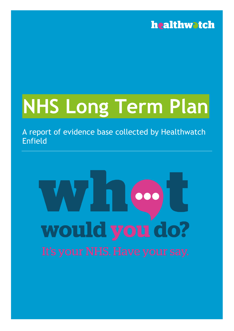## **NHS Long Term Plan**

A report of evidence base collected by Healthwatch Enfield

# 000 would you do?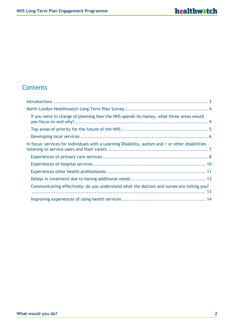#### **Contents**

| If you were in charge of planning how the NHS spends its money, what three areas would              |  |
|-----------------------------------------------------------------------------------------------------|--|
|                                                                                                     |  |
|                                                                                                     |  |
| In focus: services for individuals with a Learning Disability, autism and / or other disabilities - |  |
|                                                                                                     |  |
|                                                                                                     |  |
|                                                                                                     |  |
|                                                                                                     |  |
| Communicating effectively: do you understand what the doctors and nurses are telling you?           |  |
|                                                                                                     |  |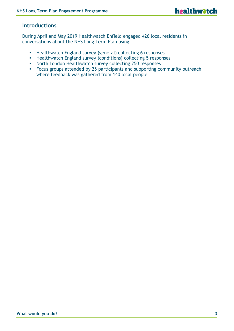#### <span id="page-2-0"></span>**Introductions**

During April and May 2019 Healthwatch Enfield engaged 426 local residents in conversations about the NHS Long Term Plan using:

- **EXECTE Healthwatch England survey (general) collecting 6 responses**
- Healthwatch England survey (conditions) collecting 5 responses
- North London Healthwatch survey collecting 250 responses
- Focus groups attended by 25 participants and supporting community outreach where feedback was gathered from 140 local people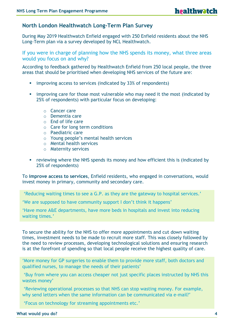#### <span id="page-3-0"></span>**North London Healthwatch Long-Term Plan Survey**

During May 2019 Healthwatch Enfield engaged with 250 Enfield residents about the NHS Long-Term plan via a survey developed by NCL Healthwatch.

<span id="page-3-1"></span>If you were in charge of planning how the NHS spends its money, what three areas would you focus on and why?

According to feedback gathered by Healthwatch Enfield from 250 local people, the three areas that should be prioritised when developing NHS services of the future are:

- **EXECUTE:** improving access to services (indicated by 33% of respondents)
- **•** improving care for those most vulnerable who may need it the most (indicated by 25% of respondents) with particular focus on developing:
	- o Cancer care
	- o Dementia care
	- o End of life care
	- o Care for long term conditions
	- o Paediatric care
	- o Young people's mental health services
	- o Mental health services
	- o Maternity services
- **EXECT** reviewing where the NHS spends its money and how efficient this is (indicated by 25% of respondents)

To **improve access to services**, Enfield residents, who engaged in conversations, would invest money in primary, community and secondary care.

'Reducing waiting times to see a G.P. as they are the gateway to hospital services.'

'We are supposed to have community support I don't think it happens'

'Have more A&E departments, have more beds in hospitals and invest into reducing waiting times.'

To secure the ability for the NHS to offer more appointments and cut down waiting times, investment needs to be made to recruit more staff. This was closely followed by the need to review processes, developing technological solutions and ensuring research is at the forefront of spending so that local people receive the highest quality of care.

'More money for GP surgeries to enable them to provide more staff, both doctors and qualified nurses, to manage the needs of their patients'

'Buy from where you can access cheaper not just specific places instructed by NHS this wastes money'

'Reviewing operational processes so that NHS can stop wasting money. For example, why send letters when the same information can be communicated via e-mail?'

'Focus on technology for streaming appointments etc.'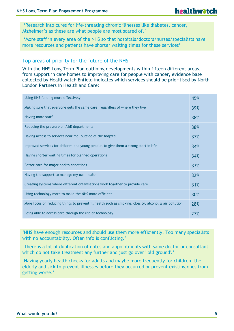'Research into cures for life-threating chronic illnesses like diabetes, cancer, Alzheimer's as these are what people are most scared of.'

'More staff in every area of the NHS so that hospitals/doctors/nurses/specialists have more resources and patients have shorter waiting times for these services'

#### <span id="page-4-0"></span>Top areas of priority for the future of the NHS

With the NHS Long Term Plan outlining developments within fifteen different areas, from support in care homes to improving care for people with cancer, evidence base collected by Healthwatch Enfield indicates which services should be prioritised by North London Partners in Health and Care:

| Using NHS funding more effectively                                                                    | 45% |
|-------------------------------------------------------------------------------------------------------|-----|
| Making sure that everyone gets the same care, regardless of where they live                           | 39% |
| Having more staff                                                                                     | 38% |
| Reducing the pressure on A&E departments                                                              | 38% |
| Having access to services near me, outside of the hospital                                            | 37% |
| Improved services for children and young people, to give them a strong start in life                  | 34% |
| Having shorter waiting times for planned operations                                                   | 34% |
| Better care for major health conditions                                                               | 33% |
| Having the support to manage my own health                                                            | 32% |
| Creating systems where different organisations work together to provide care                          | 31% |
| Using technology more to make the NHS more efficient                                                  | 30% |
| More focus on reducing things to prevent ill health such as smoking, obesity, alcohol & air pollution | 28% |
| Being able to access care through the use of technology                                               | 27% |

'NHS have enough resources and should use them more efficiently. Too many specialists with no accountability. Often info is conflicting.'

'There is a lot of duplication of notes and appointments with same doctor or consultant which do not take treatment any further and just go over 'old ground'.'

'Having yearly health checks for adults and maybe more frequently for children, the elderly and sick to prevent illnesses before they occurred or prevent existing ones from getting worse.'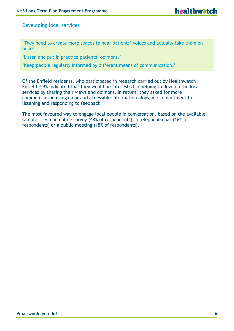<span id="page-5-0"></span>Developing local services

'They need to create more spaces to hear patients' voices and actually take them on board.'

'Listen and put in practice patients' opinions.'

'Keep people regularly informed by different means of communication.'

Of the Enfield residents, who participated in research carried out by Healthwatch Enfield, 59% indicated that they would be interested in helping to develop the local services by sharing their views and opinions. In return, they asked for more communication using clear and accessible information alongside commitment to listening and responding to feedback.

The most favoured way to engage local people in conversation, based on the available sample, is via an online survey (48% of respondents), a telephone chat (16% of respondents) or a public meeting (15% of respondents).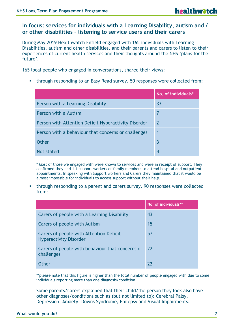#### <span id="page-6-0"></span>**In focus: services for individuals with a Learning Disability, autism and / or other disabilities – listening to service users and their carers**

During May 2019 Healthwatch Enfield engaged with 165 individuals with Learning Disabilities, autism and other disabilities, and their parents and carers to listen to their experiences of current health services and their thoughts around the NHS 'plans for the future'.

165 local people who engaged in conversations, shared their views:

**•** through responding to an Easy Read survey. 50 responses were collected from:

|                                                      | No. of individuals* |
|------------------------------------------------------|---------------------|
| Person with a Learning Disability                    | 33                  |
| Person with a Autism                                 | 7                   |
| Person with Attention Deficit Hyperactivity Disorder | 2                   |
| Person with a behaviour that concerns or challenges  | 1                   |
| <b>Other</b>                                         | 3                   |
| Not stated                                           | 4                   |

\* Most of those we engaged with were known to services and were in receipt of support. They confirmed they had 1-1 support workers or family members to attend hospital and outpatient appointments. In speaking with Support workers and Carers they maintained that it would be almost impossible for individuals to access support without their help.

**•** through responding to a parent and carers survey. 90 responses were collected from:

|                                                                          | No. of individuals** |
|--------------------------------------------------------------------------|----------------------|
| Carers of people with a Learning Disability                              | 43                   |
| Carers of people with Autism                                             | 15                   |
| Carers of people with Attention Deficit<br><b>Hyperactivity Disorder</b> | 57                   |
| Carers of people with behaviour that concerns or<br>challenges           | 22                   |
| <b>Other</b>                                                             | 77                   |

\*\*please note that this figure is higher than the total number of people engaged with due to some individuals reporting more than one diagnosis/condition

Some parents/carers explained that their child/the person they look also have other diagnoses/conditions such as (but not limited to): Cerebral Palsy, Depression, Anxiety, Downs Syndrome, Epilepsy and Visual Impairments.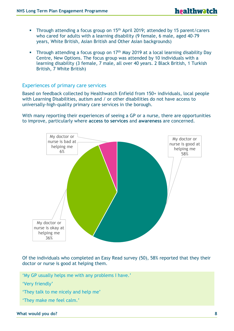- **•** Through attending a focus group on 15<sup>th</sup> April 2019; attended by 15 parent/carers who cared for adults with a learning disability (9 female, 6 male, aged 40-79 years, White British, Asian British and Other Asian backgrounds)
- **EXECT** Through attending a focus group on  $17<sup>th</sup>$  May 2019 at a local learning disability Day Centre, New Options. The focus group was attended by 10 individuals with a learning disability (3 female, 7 male, all over 40 years. 2 Black British, 1 Turkish British, 7 White British)

#### <span id="page-7-0"></span>Experiences of primary care services

Based on feedback collected by Healthwatch Enfield from 150+ individuals, local people with Learning Disabilities, autism and / or other disabilities do not have access to universally-high-quality primary care services in the borough.

With many reporting their experiences of seeing a GP or a nurse, there are opportunities to improve, particularly where **access to services** and **awareness** are concerned.



Of the individuals who completed an Easy Read survey (50), 58% reported that they their doctor or nurse is good at helping them.

'My GP usually helps me with any problems I have.'

- 'Very friendly'
- 'They talk to me nicely and help me'
- 'They make me feel calm.'

#### **What would you do? 8**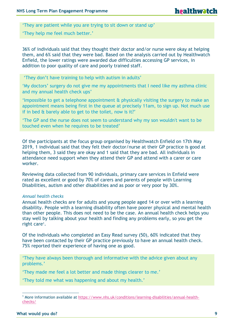'They are patient while you are trying to sit down or stand up'

'They help me feel much better.'

36% of individuals said that they thought their doctor and/or nurse were okay at helping them, and 6% said that they were bad. Based on the analysis carried out by Healthwatch Enfield, the lower ratings were awarded due difficulties accessing GP services, in addition to poor quality of care and poorly trained staff.

'They don't have training to help with autism in adults'

'My doctors' surgery do not give me my appointments that I need like my asthma clinic and my annual health check ups'

'Impossible to get a telephone appointment & physically visiting the surgery to make an appointment means being first in the queue at precisely 11am, to sign up. Not much use if in bed & barely able to get to the toilet, now is it?'

'The GP and the nurse does not seem to understand why my son wouldn't want to be touched even when he requires to be treated'

Of the participants at the focus group organised by Healthwatch Enfield on 17th May 2019, 1 individual said that they felt their doctor/nurse at their GP practice is good at helping them, 3 said they are okay and 1 said that they are bad. All individuals in attendance need support when they attend their GP and attend with a carer or care worker.

Reviewing data collected from 90 individuals, primary care services in Enfield were rated as excellent or good by 70% of carers and parents of people with Learning Disabilities, autism and other disabilities and as poor or very poor by 30%.

#### *Annual health checks*

Annual health checks are for adults and young people aged 14 or over with a learning disability. People with a learning disability often have poorer physical and mental health than other people. This does not need to be the case. An annual health check helps you stay well by talking about your health and finding any problems early, so you get the right care<sup>1</sup>.

Of the individuals who completed an Easy Read survey (50), 60% indicated that they have been contacted by their GP practice previously to have an annual health check. 75% reported their experience of having one as good.

'They have always been thorough and informative with the advice given about any problems.'

'They made me feel a lot better and made things clearer to me.'

'They told me what was happening and about my health.'

 $\overline{a}$ 

<sup>&</sup>lt;sup>1</sup> More information available at [https://www.nhs.uk/conditions/learning-disabilities/annual-health](https://www.nhs.uk/conditions/learning-disabilities/annual-health-checks/)[checks/](https://www.nhs.uk/conditions/learning-disabilities/annual-health-checks/)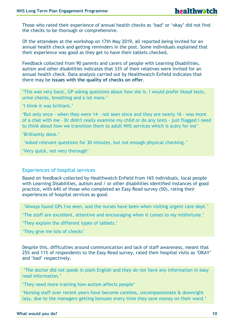Those who rated their experience of annual health checks as 'bad' or 'okay' did not find the checks to be thorough or comprehensive.

Of the attendees at the workshop on 17th May 2019, all reported being invited for an annual health check and getting reminders in the post. Some individuals explained that their experience was good as they get to have their tablets checked.

Feedback collected from 90 parents and carers of people with Learning Disabilities, autism and other disabilities indicates that 33% of their relatives were invited for an annual health check. Data analysis carried out by Healthwatch Enfield indicates that there may be **issues with the quality of checks on offer**.

'This was very basic, GP asking questions about how she is. I would prefer blood tests, urine checks, breathing and a lot more.'

'I think it was brilliant.'

'But only once - when they were 14 - not seen since and they are nearly 16 - was more of a chat with me - Dr didn't really examine my child or do any tests - just flagged I need to think about how we transition them to adult NHS services which is scary for me'

'Brilliantly done.'

'Asked relevant questions for 30 minutes, but not enough physical checking.'

'Very quick, not very thorough'

#### <span id="page-9-0"></span>Experiences of hospital services

Based on feedback collected by Healthwatch Enfield from 165 individuals, local people with Learning Disabilities, autism and / or other disabilities identified instances of good practice, with 64% of those who completed an Easy Read survey (50), rating their experiences of hospital services as good.

'Always found GPs I've seen, and the nurses have been when visiting urgent care dept.'

'The staff are excellent, attentive and encouraging when it comes to my misfortune.'

'They explain the different types of tablets.'

'They give me lots of checks'

Despite this, difficulties around communication and lack of staff awareness, meant that 25% and 11% of respondents to the Easy Read survey, rated their hospital visits as 'OKAY' and 'bad' respectively.

'The doctor did not speak in plain English and they do not have any information in easy read information.'

'They need more training how autism affects people'

'Nursing staff over recent years have become careless, uncompassionate & downright lazy, due to the managers getting bonuses every time they save money on their ward.'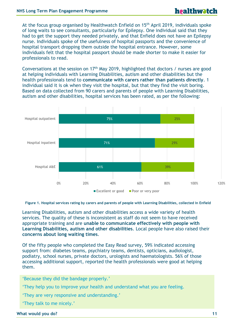At the focus group organised by Healthwatch Enfield on 15<sup>th</sup> April 2019, individuals spoke of long waits to see consultants, particularly for Epilepsy. One individual said that they had to get the support they needed privately, and that Enfield does not have an Epilepsy nurse. Individuals spoke of the usefulness of hospital passports and the convenience of hospital transport dropping them outside the hospital entrance. However, some individuals felt that the hospital passport should be made shorter to make it easier for professionals to read.

Conversations at the session on 17<sup>th</sup> May 2019, highlighted that doctors / nurses are good at helping individuals with Learning Disabilities, autism and other disabilities but the health professionals tend to **communicate with carers rather than patients directly**. 1 individual said it is ok when they visit the hospital, but that they find the visit boring. Based on data collected from 90 carers and parents of people with Learning Disabilities, autism and other disabilities, hospital services has been rated, as per the following:



<span id="page-10-0"></span>Analysis of 150 surveys collected by Healthwatch Enfield indicates that local people with **Figure 1. Hospital services rating by carers and parents of people with Learning Disabilities, collected in Enfield**

Learning Disabilities, autism and other disabilities access a wide variety of health services. The quality of these is inconsistent as staff do not seem to have received appropriate training and are **unable to communicate effectively with people with Learning Disabilities, autism and other disabilities**. Local people have also raised their **concerns about long waiting times**.

Of the fifty people who completed the Easy Read survey, 59% indicated accessing support from: diabetes teams, psychiatry teams, dentists, opticians, audiologist, podiatry, school nurses, private doctors, urologists and haematologists. 56% of those accessing additional support, reported the health professionals were good at helping them.

'Because they did the bandage properly.'

'They help you to improve your health and understand what you are feeling.

'They are very responsive and understanding.'

'They talk to me nicely.'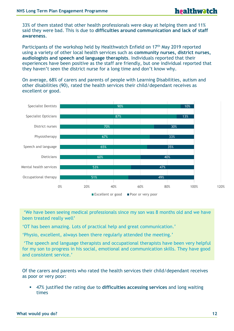33% of them stated that other health professionals were okay at helping them and 11% said they were bad. This is due to **difficulties around communication and lack of staff awareness**.

Participants of the workshop held by Healthwatch Enfield on 17<sup>th</sup> May 2019 reported using a variety of other local health services such as **community nurses, district nurses, audiologists and speech and language therapists**. Individuals reported that their experiences have been positive as the staff are friendly, but one individual reported that they haven't seen the district nurse for a long time and don't know why.

On average, 68% of carers and parents of people with Learning Disabilities, autism and other disabilities (90), rated the health services their child/dependant receives as excellent or good.



'We have been seeing medical professionals since my son was 8 months old and we have been treated really well'

'OT has been amazing. Lots of practical help and great communication.'

'Physio, excellent, always been there regularly attended the meeting.'

'The speech and language therapists and occupational therapists have been very helpful for my son to progress in his social, emotional and communication skills. They have good and consistent service.'

Of the carers and parents who rated the health services their child/dependant receives as poor or very poor:

▪ 47% justified the rating due to **difficulties accessing services** and long waiting times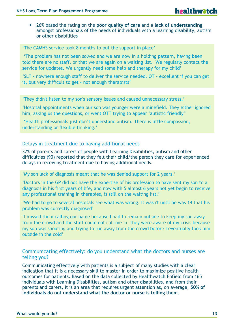▪ 26% based the rating on the **poor quality of care** and a **lack of understanding** amongst professionals of the needs of individuals with a learning disability, autism or other disabilities

'The CAMHS service took 8 months to put the support in place'

'The problem has not been solved and we are now in a holding pattern, having been told there are no staff, or that we are again on a waiting list. We regularly contact the service for updates. We urgently need some help and therapy for my child'

'SLT - nowhere enough staff to deliver the service needed. OT - excellent if you can get it, but very difficult to get - not enough therapists'

'They didn't listen to my son's sensory issues and caused unnecessary stress.'

'Hospital appointments when our son was younger were a minefield. They either ignored him, asking us the questions, or went OTT trying to appear "autistic friendly"'

'Health professionals just don't understand autism. There is little compassion, understanding or flexible thinking.'

#### <span id="page-12-0"></span>Delays in treatment due to having additional needs

37% of parents and carers of people with Learning Disabilities, autism and other difficulties (90) reported that they felt their child/the person they care for experienced delays in receiving treatment due to having additional needs.

'My son lack of diagnosis meant that he was denied support for 2 years.'

'Doctors in the GP did not have the expertise of his profession to have sent my son to a diagnosis in his first years of life, and now with 5 almost 6 years not yet begin to receive any professional training in therapies, is still on the waiting list.'

'We had to go to several hospitals see what was wrong. It wasn't until he was 14 that his problem was correctly diagnosed'

'I missed them calling our name because I had to remain outside to keep my son away from the crowd and the staff could not call me in. they were aware of my crisis because my son was shouting and trying to run away from the crowd before I eventually took him outside in the cold'

#### <span id="page-12-1"></span>Communicating effectively: do you understand what the doctors and nurses are telling you?

Communicating effectively with patients is a subject of many studies with a clear indication that it is a necessary skill to master in order to maximize positive health outcomes for patients. Based on the data collected by Healthwatch Enfield from 165 individuals with Learning Disabilities, autism and other disabilities, and from their parents and carers, it is an area that requires urgent attention as, on average, **50% of individuals do not understand what the doctor or nurse is telling them**.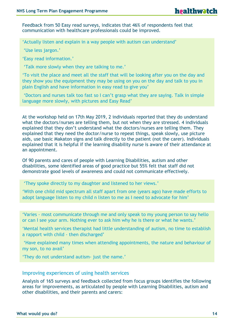Feedback from 50 Easy read surveys, indicates that 46% of respondents feel that communication with healthcare professionals could be improved.

'Actually listen and explain in a way people with autism can understand'

'Use less jargon.'

'Easy read information.'

'Talk more slowly when they are talking to me.'

'To visit the place and meet all the staff that will be looking after you on the day and they show you the equipment they may be using on you on the day and talk to you in plain English and have information in easy read to give you'

'Doctors and nurses talk too fast so I can't grasp what they are saying. Talk in simple language more slowly, with pictures and Easy Read'

At the workshop held on 17th May 2019, 2 individuals reported that they do understand what the doctors/nurses are telling them, but not when they are stressed. 4 individuals explained that they don't understand what the doctors/nurses are telling them. They explained that they need the doctor/nurse to repeat things, speak slowly, use picture aids, use basic Makaton signs and talk directly to the patient (not the carer). Individuals explained that it is helpful if the learning disability nurse is aware of their attendance at an appointment.

Of 90 parents and cares of people with Learning Disabilities, autism and other disabilities, some identified areas of good practice but 55% felt that staff did not demonstrate good levels of awareness and could not communicate effectively.

'They spoke directly to my daughter and listened to her views.'

'With one child mid spectrum all staff apart from one (years ago) have made efforts to adopt language listen to my child n listen to me as I need to advocate for him'

'Varies - most communicate through me and only speak to my young person to say hello or can I see your arm. Nothing ever to ask him why he is there or what he wants.'

'Mental health services therapist had little understanding of autism, no time to establish a rapport with child - then discharged'

'Have explained many times when attending appointments, the nature and behaviour of my son, to no avail'

'They do not understand autism- just the name.'

#### <span id="page-13-0"></span>Improving experiences of using health services

Analysis of 165 surveys and feedback collected from focus groups identifies the following areas for improvements, as articulated by people with Learning Disabilities, autism and other disabilities, and their parents and carers: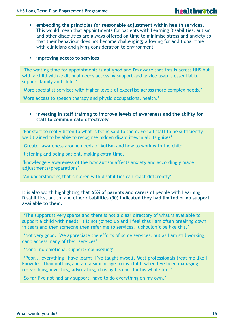- **embedding the principles for reasonable adjustment within health services**. This would mean that appointments for patients with Learning Disabilities, autism and other disabilities are always offered on time to minimise stress and anxiety so that their behaviour does not become challenging; allowing for additional time with clinicians and giving consideration to environment
- **improving access to services**

'The waiting time for appointments is not good and I'm aware that this is across NHS but with a child with additional needs accessing support and advice asap is essential to support family and child.'

'More specialist services with higher levels of expertise across more complex needs.'

'More access to speech therapy and physio occupational health.'

#### **EXED IN 19 Investing in staff training to improve levels of awareness and the ability for staff to communicate effectively**

'For staff to really listen to what is being said to them. For all staff to be sufficiently well trained to be able to recognise hidden disabilities in all its guises'

'Greater awareness around needs of Autism and how to work with the child'

'listening and being patient. making extra time.'

'knowledge + awareness of the how autism affects anxiety and accordingly made adjustments/preparations'

'An understanding that children with disabilities can react differently'

It is also worth highlighting that **65% of parents and carers** of people with Learning Disabilities, autism and other disabilities (90) **indicated they had limited or no support available to them.** 

'The support is very sparse and there is not a clear directory of what is available to support a child with needs. It is not joined up and I feel that I am often breaking down in tears and then someone then refer me to services. It shouldn't be like this.'

'Not very good. We appreciate the efforts of some services, but as I am still working, I can't access many of their services'

'None, no emotional support/ counselling'

'Poor... everything I have learnt, I've taught myself. Most professionals treat me like I know less than nothing and am a similar age to my child, when I've been managing, researching, investing, advocating, chasing his care for his whole life.'

'So far I've not had any support, have to do everything on my own.'